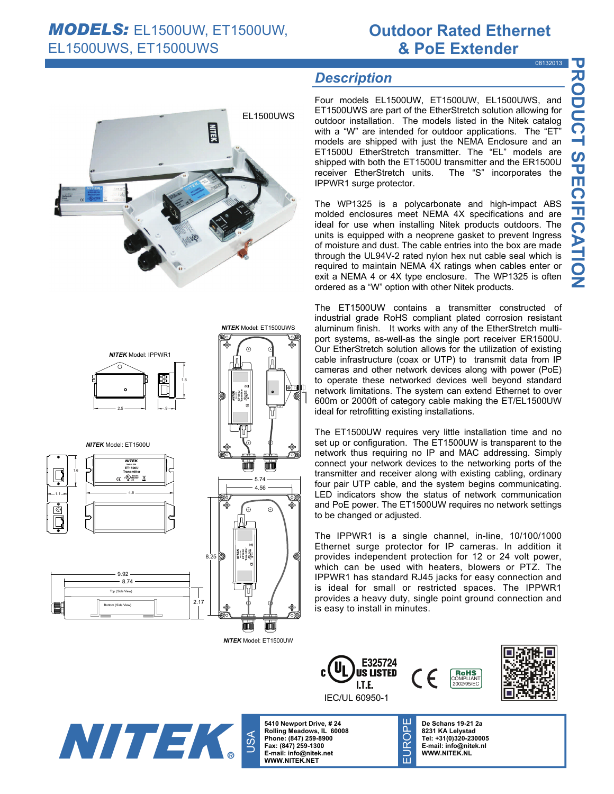### **Outdoor Rated Ethernet & PoE Extender**  08132013

**PRODUCT SPECIFICATION** 

**RODUCT SPECERICATION** 

## *Description*

Four models EL1500UW, ET1500UW, EL1500UWS, and ET1500UWS are part of the EtherStretch solution allowing for outdoor installation. The models listed in the Nitek catalog with a "W" are intended for outdoor applications. The "ET" models are shipped with just the NEMA Enclosure and an ET1500U EtherStretch transmitter. The "EL" models are shipped with both the ET1500U transmitter and the ER1500U receiver EtherStretch units. The "S" incorporates the IPPWR1 surge protector.

The WP1325 is a polycarbonate and high-impact ABS molded enclosures meet NEMA 4X specifications and are ideal for use when installing Nitek products outdoors. The units is equipped with a neoprene gasket to prevent Ingress of moisture and dust. The cable entries into the box are made through the UL94V-2 rated nylon hex nut cable seal which is required to maintain NEMA 4X ratings when cables enter or exit a NEMA 4 or 4X type enclosure. The WP1325 is often

The ET1500UW contains a transmitter constructed of industrial grade RoHS compliant plated corrosion resistant aluminum finish. It works with any of the EtherStretch multiport systems, as-well-as the single port receiver ER1500U. Our EtherStretch solution allows for the utilization of existing cable infrastructure (coax or UTP) to transmit data from IP cameras and other network devices along with power (PoE) to operate these networked devices well beyond standard network limitations. The system can extend Ethernet to over 600m or 2000ft of category cable making the ET/EL1500UW ideal for retrofitting existing installations.

The ET1500UW requires very little installation time and no set up or configuration. The ET1500UW is transparent to the network thus requiring no IP and MAC addressing. Simply connect your network devices to the networking ports of the transmitter and receiver along with existing cabling, ordinary four pair UTP cable, and the system begins communicating. LED indicators show the status of network communication and PoE power. The ET1500UW requires no network settings to be changed or adjusted.

The IPPWR1 is a single channel, in-line, 10/100/1000 Ethernet surge protector for IP cameras. In addition it provides independent protection for 12 or 24 volt power, which can be used with heaters, blowers or PTZ. The IPPWR1 has standard RJ45 jacks for easy connection and is ideal for small or restricted spaces. The IPPWR1 provides a heavy duty, single point ground connection and is easy to install in minutes.



*NITEK* Model: ET1500UWS

Ō.

 $|\bullet\rangle$  ii

EL1500UWS

**AIR** 

ordered as a "W" option with other Nitek products.

Bottom (Side View) Top (Side View) 2.17 9.92  $-8.74$ 

1.1

1.6

2.5 <del>.</del>9

**Made in USA ET1500U NITE Transmitter** 

4.6

*NITEK* Model: ET1500U

്റ

*NITEK* Model: IPPWR1

1.8

*NITEK* Model: ET1500UW

min









**5410 Newport Drive, # 24 Rolling Meadows, IL 60008 Phone: (847) 259-8900 Fax: (847) 259-1300 E-mail: info@nitek.net WWW.NITEK.NET**